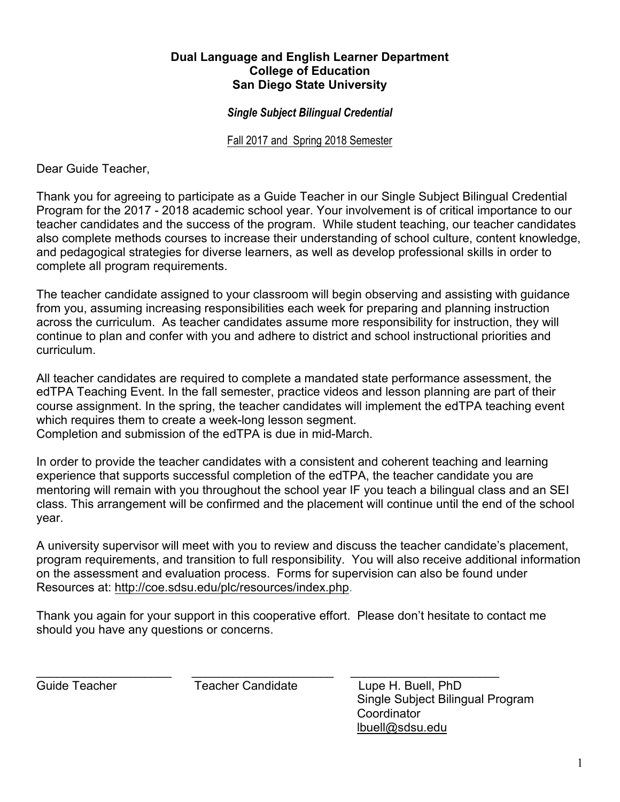## **Dual Language and English Learner Department College of Education San Diego State University**

## *Single Subject Bilingual Credential*

Fall 2017 and Spring 2018 Semester

Dear Guide Teacher,

Thank you for agreeing to participate as a Guide Teacher in our Single Subject Bilingual Credential Program for the 2017 - 2018 academic school year. Your involvement is of critical importance to our teacher candidates and the success of the program. While student teaching, our teacher candidates also complete methods courses to increase their understanding of school culture, content knowledge, and pedagogical strategies for diverse learners, as well as develop professional skills in order to complete all program requirements.

The teacher candidate assigned to your classroom will begin observing and assisting with guidance from you, assuming increasing responsibilities each week for preparing and planning instruction across the curriculum. As teacher candidates assume more responsibility for instruction, they will continue to plan and confer with you and adhere to district and school instructional priorities and curriculum.

All teacher candidates are required to complete a mandated state performance assessment, the edTPA Teaching Event. In the fall semester, practice videos and lesson planning are part of their course assignment. In the spring, the teacher candidates will implement the edTPA teaching event which requires them to create a week-long lesson segment.

Completion and submission of the edTPA is due in mid-March.

In order to provide the teacher candidates with a consistent and coherent teaching and learning experience that supports successful completion of the edTPA, the teacher candidate you are mentoring will remain with you throughout the school year IF you teach a bilingual class and an SEI class. This arrangement will be confirmed and the placement will continue until the end of the school year.

A university supervisor will meet with you to review and discuss the teacher candidate's placement, program requirements, and transition to full responsibility. You will also receive additional information on the assessment and evaluation process. Forms for supervision can also be found under Resources at: http://coe.sdsu.edu/plc/resources/index.php.

Thank you again for your support in this cooperative effort. Please don't hesitate to contact me should you have any questions or concerns.

\_\_\_\_\_\_\_\_\_\_\_\_\_\_\_\_\_\_\_\_ \_\_\_\_\_\_\_\_\_\_\_\_\_\_\_\_\_\_\_\_\_ \_\_\_\_\_\_\_\_\_\_\_\_\_\_\_\_\_\_\_\_\_\_ Guide Teacher Teacher Candidate Lupe H. Buell, PhD Single Subject Bilingual Program **Coordinator** lbuell@sdsu.edu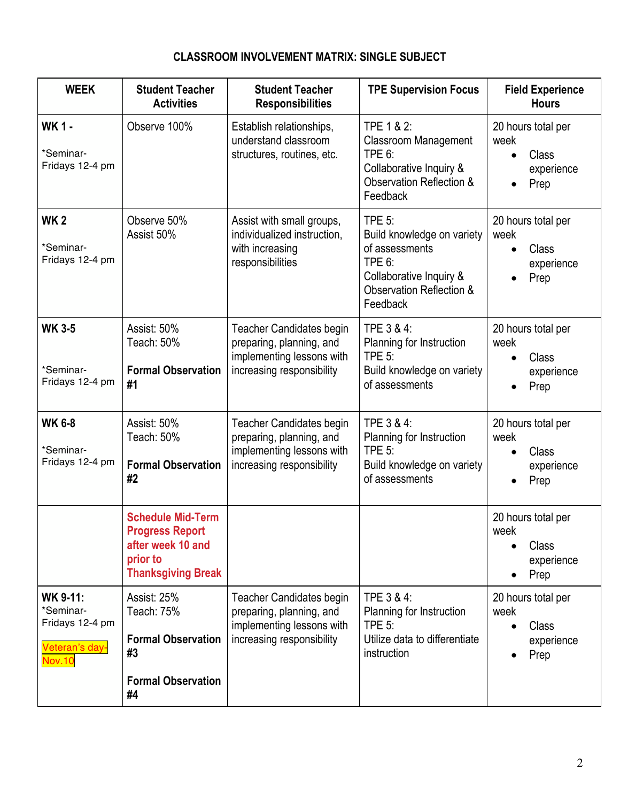## **CLASSROOM INVOLVEMENT MATRIX: SINGLE SUBJECT**

| <b>WEEK</b>                                                                        | <b>Student Teacher</b><br><b>Activities</b>                                                                      | <b>Student Teacher</b><br><b>Responsibilities</b>                                                                     | <b>TPE Supervision Focus</b>                                                                                                               | <b>Field Experience</b><br><b>Hours</b>                                |
|------------------------------------------------------------------------------------|------------------------------------------------------------------------------------------------------------------|-----------------------------------------------------------------------------------------------------------------------|--------------------------------------------------------------------------------------------------------------------------------------------|------------------------------------------------------------------------|
| <b>WK1-</b><br>*Seminar-<br>Fridays 12-4 pm                                        | Observe 100%                                                                                                     | Establish relationships,<br>understand classroom<br>structures, routines, etc.                                        | TPE 1 & 2:<br><b>Classroom Management</b><br>TPE 6:<br>Collaborative Inquiry &<br>Observation Reflection &<br>Feedback                     | 20 hours total per<br>week<br>Class<br>$\bullet$<br>experience<br>Prep |
| <b>WK2</b><br>*Seminar-<br>Fridays 12-4 pm                                         | Observe 50%<br>Assist 50%                                                                                        | Assist with small groups,<br>individualized instruction,<br>with increasing<br>responsibilities                       | <b>TPE 5:</b><br>Build knowledge on variety<br>of assessments<br>TPE 6:<br>Collaborative Inquiry &<br>Observation Reflection &<br>Feedback | 20 hours total per<br>week<br>Class<br>$\bullet$<br>experience<br>Prep |
| <b>WK 3-5</b><br>*Seminar-<br>Fridays 12-4 pm                                      | Assist: 50%<br>Teach: 50%<br><b>Formal Observation</b><br>#1                                                     | <b>Teacher Candidates begin</b><br>preparing, planning, and<br>implementing lessons with<br>increasing responsibility | TPE 3 & 4:<br>Planning for Instruction<br>TPE 5:<br>Build knowledge on variety<br>of assessments                                           | 20 hours total per<br>week<br>Class<br>$\bullet$<br>experience<br>Prep |
| <b>WK 6-8</b><br>*Seminar-<br>Fridays 12-4 pm                                      | Assist: 50%<br>Teach: 50%<br><b>Formal Observation</b><br>#2                                                     | <b>Teacher Candidates begin</b><br>preparing, planning, and<br>implementing lessons with<br>increasing responsibility | TPE 3 & 4:<br>Planning for Instruction<br>TPE $5$ :<br>Build knowledge on variety<br>of assessments                                        | 20 hours total per<br>week<br>Class<br>$\bullet$<br>experience<br>Prep |
|                                                                                    | <b>Schedule Mid-Term</b><br><b>Progress Report</b><br>after week 10 and<br>prior to<br><b>Thanksgiving Break</b> |                                                                                                                       |                                                                                                                                            | 20 hours total per<br>week<br>Class<br>experience<br>Prep              |
| <b>WK 9-11:</b><br>*Seminar-<br>Fridays 12-4 pm<br>Veteran's day-<br><b>Nov.10</b> | Assist: 25%<br>Teach: 75%<br><b>Formal Observation</b><br>#3<br><b>Formal Observation</b><br>#4                  | <b>Teacher Candidates begin</b><br>preparing, planning, and<br>implementing lessons with<br>increasing responsibility | TPE 3 & 4:<br>Planning for Instruction<br><b>TPE 5:</b><br>Utilize data to differentiate<br>instruction                                    | 20 hours total per<br>week<br>Class<br>experience<br>Prep              |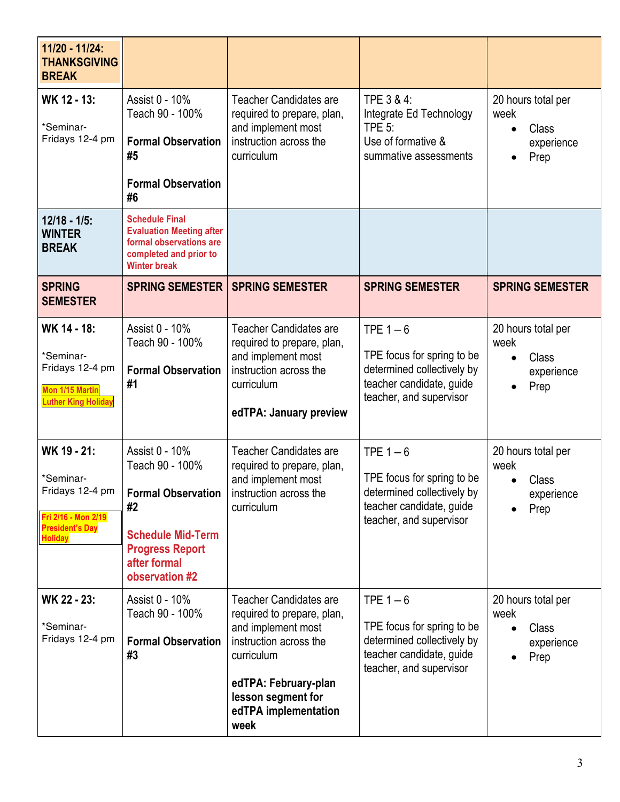| 11/20 - 11/24:<br><b>THANKSGIVING</b><br><b>BREAK</b>                                                          |                                                                                                                                                              |                                                                                                                                                                                                         |                                                                                                                              |                                                                        |
|----------------------------------------------------------------------------------------------------------------|--------------------------------------------------------------------------------------------------------------------------------------------------------------|---------------------------------------------------------------------------------------------------------------------------------------------------------------------------------------------------------|------------------------------------------------------------------------------------------------------------------------------|------------------------------------------------------------------------|
| WK 12 - 13:<br>*Seminar-<br>Fridays 12-4 pm                                                                    | Assist 0 - 10%<br>Teach 90 - 100%<br><b>Formal Observation</b><br>#5<br><b>Formal Observation</b><br>#6                                                      | <b>Teacher Candidates are</b><br>required to prepare, plan,<br>and implement most<br>instruction across the<br>curriculum                                                                               | TPE 3 & 4:<br>Integrate Ed Technology<br>TPE $5$ :<br>Use of formative &<br>summative assessments                            | 20 hours total per<br>week<br>Class<br>$\bullet$<br>experience<br>Prep |
| $12/18 - 1/5$ :<br><b>WINTER</b><br><b>BREAK</b>                                                               | <b>Schedule Final</b><br><b>Evaluation Meeting after</b><br>formal observations are<br>completed and prior to<br><b>Winter break</b>                         |                                                                                                                                                                                                         |                                                                                                                              |                                                                        |
| <b>SPRING</b><br><b>SEMESTER</b>                                                                               | <b>SPRING SEMESTER</b>                                                                                                                                       | <b>SPRING SEMESTER</b>                                                                                                                                                                                  | <b>SPRING SEMESTER</b>                                                                                                       | <b>SPRING SEMESTER</b>                                                 |
| WK 14 - 18:<br>*Seminar-<br>Fridays 12-4 pm<br>Mon 1/15 Martin<br><b>Luther King Holiday</b>                   | Assist 0 - 10%<br>Teach 90 - 100%<br><b>Formal Observation</b><br>#1                                                                                         | <b>Teacher Candidates are</b><br>required to prepare, plan,<br>and implement most<br>instruction across the<br>curriculum<br>edTPA: January preview                                                     | TPE $1-6$<br>TPE focus for spring to be<br>determined collectively by<br>teacher candidate, guide<br>teacher, and supervisor | 20 hours total per<br>week<br>Class<br>$\bullet$<br>experience<br>Prep |
| WK 19 - 21:<br>*Seminar-<br>Fridays 12-4 pm<br>Fri 2/16 - Mon 2/19<br><b>President's Day</b><br><b>Holiday</b> | Assist 0 - 10%<br>Teach 90 - 100%<br><b>Formal Observation</b><br>#2<br><b>Schedule Mid-Term</b><br><b>Progress Report</b><br>after formal<br>observation #2 | <b>Teacher Candidates are</b><br>required to prepare, plan,<br>and implement most<br>instruction across the<br>curriculum                                                                               | TPE $1-6$<br>TPE focus for spring to be<br>determined collectively by<br>teacher candidate, guide<br>teacher, and supervisor | 20 hours total per<br>week<br>Class<br>experience<br>Prep              |
| WK 22 - 23:<br>*Seminar-<br>Fridays 12-4 pm                                                                    | Assist 0 - 10%<br>Teach 90 - 100%<br><b>Formal Observation</b><br>#3                                                                                         | <b>Teacher Candidates are</b><br>required to prepare, plan,<br>and implement most<br>instruction across the<br>curriculum<br>edTPA: February-plan<br>lesson segment for<br>edTPA implementation<br>week | TPE $1-6$<br>TPE focus for spring to be<br>determined collectively by<br>teacher candidate, guide<br>teacher, and supervisor | 20 hours total per<br>week<br>Class<br>$\bullet$<br>experience<br>Prep |